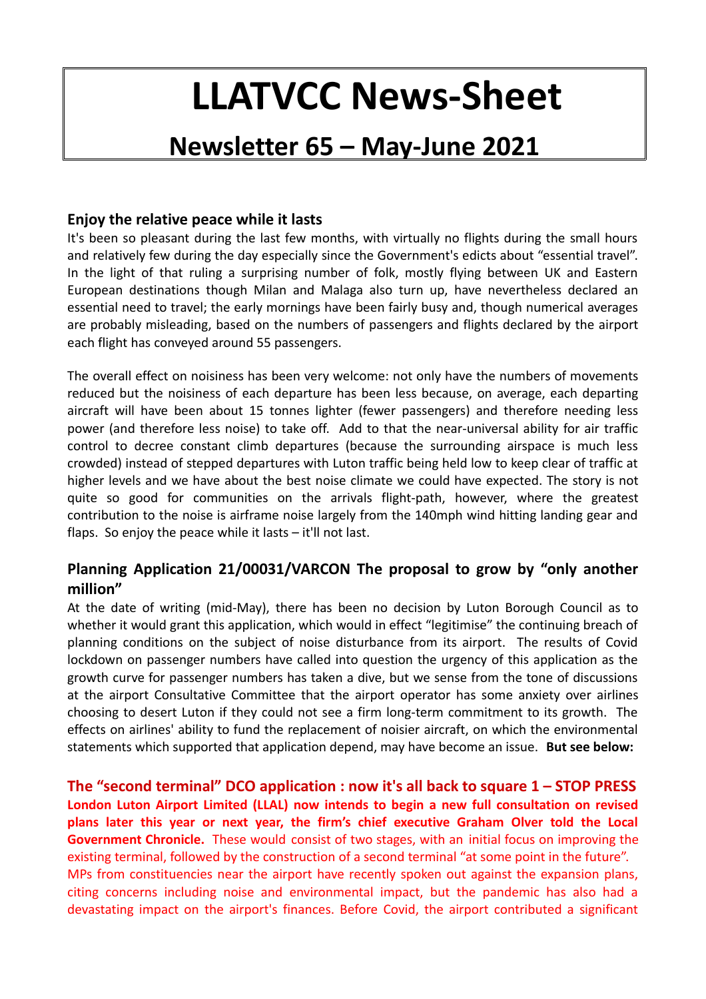# **LLATVCC News-Sheet**

# **Newsletter 65 – May-June 2021**

## **Enjoy the relative peace while it lasts**

It's been so pleasant during the last few months, with virtually no flights during the small hours and relatively few during the day especially since the Government's edicts about "essential travel". In the light of that ruling a surprising number of folk, mostly flying between UK and Eastern European destinations though Milan and Malaga also turn up, have nevertheless declared an essential need to travel; the early mornings have been fairly busy and, though numerical averages are probably misleading, based on the numbers of passengers and flights declared by the airport each flight has conveyed around 55 passengers.

The overall effect on noisiness has been very welcome: not only have the numbers of movements reduced but the noisiness of each departure has been less because, on average, each departing aircraft will have been about 15 tonnes lighter (fewer passengers) and therefore needing less power (and therefore less noise) to take off. Add to that the near-universal ability for air traffic control to decree constant climb departures (because the surrounding airspace is much less crowded) instead of stepped departures with Luton traffic being held low to keep clear of traffic at higher levels and we have about the best noise climate we could have expected. The story is not quite so good for communities on the arrivals flight-path, however, where the greatest contribution to the noise is airframe noise largely from the 140mph wind hitting landing gear and flaps. So enjoy the peace while it lasts – it'll not last.

# **Planning Application 21/00031/VARCON The proposal to grow by "only another million"**

At the date of writing (mid-May), there has been no decision by Luton Borough Council as to whether it would grant this application, which would in effect "legitimise" the continuing breach of planning conditions on the subject of noise disturbance from its airport. The results of Covid lockdown on passenger numbers have called into question the urgency of this application as the growth curve for passenger numbers has taken a dive, but we sense from the tone of discussions at the airport Consultative Committee that the airport operator has some anxiety over airlines choosing to desert Luton if they could not see a firm long-term commitment to its growth. The effects on airlines' ability to fund the replacement of noisier aircraft, on which the environmental statements which supported that application depend, may have become an issue. **But see below:**

**The "second terminal" DCO application : now it's all back to square 1 – STOP PRESS London Luton Airport Limited (LLAL) now intends to begin a new full consultation on revised plans later this year or next year, the firm's chief executive Graham Olver told the Local Government Chronicle.** These would consist of two stages, with an initial focus on improving the existing terminal, followed by the construction of a second terminal "at some point in the future". MPs from constituencies near the airport have recently spoken out against the expansion plans, citing concerns including noise and environmental impact, but the pandemic has also had a devastating impact on the airport's finances. Before Covid, the airport contributed a significant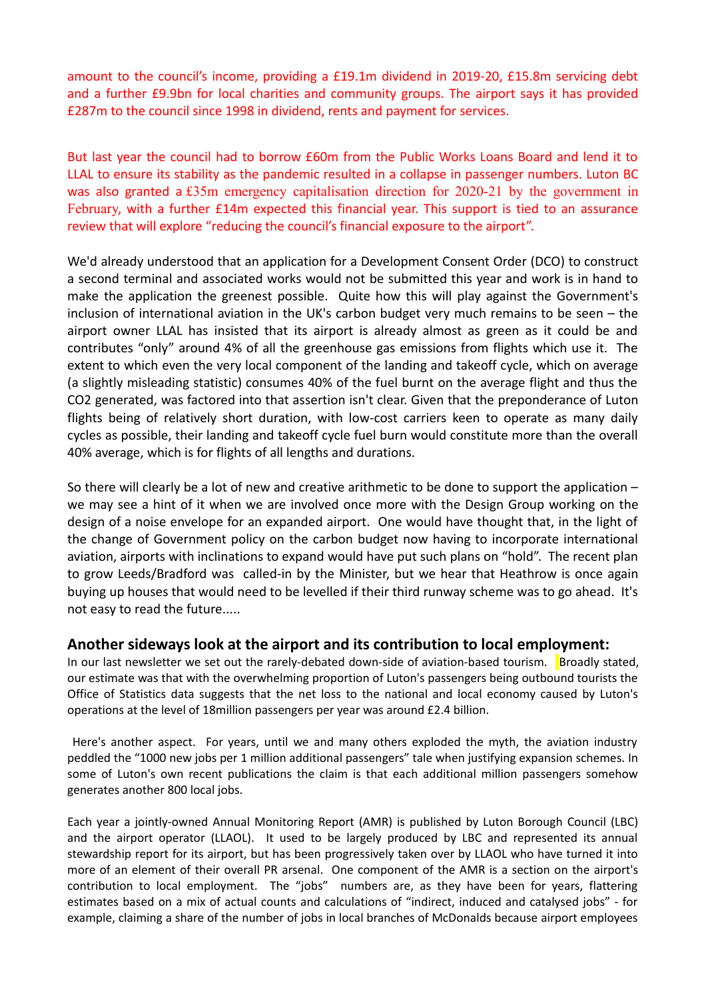amount to the council's income, providing a £19.1m dividend in 2019-20, £15.8m servicing debt and a further £9.9bn for local charities and community groups. The airport says it has provided £287m to the council since 1998 in dividend, rents and payment for services.

But last year the council had to borrow £60m from the Public Works Loans Board and lend it to LLAL to ensure its stability as the pandemic resulted in a collapse in passenger numbers. Luton BC was also granted a [£35m emergency capitalisation direction for 2020-21 by the government in](https://www.lgcplus.com/finance/exceptional-support-councils-promised-96m-by-2022-11-02-2021/) [February](https://www.lgcplus.com/finance/exceptional-support-councils-promised-96m-by-2022-11-02-2021/), with a further £14m expected this financial year. This support is tied to an assurance review that will explore "reducing the council's financial exposure to the airport".

We'd already understood that an application for a Development Consent Order (DCO) to construct a second terminal and associated works would not be submitted this year and work is in hand to make the application the greenest possible. Quite how this will play against the Government's inclusion of international aviation in the UK's carbon budget very much remains to be seen – the airport owner LLAL has insisted that its airport is already almost as green as it could be and contributes "only" around 4% of all the greenhouse gas emissions from flights which use it. The extent to which even the very local component of the landing and takeoff cycle, which on average (a slightly misleading statistic) consumes 40% of the fuel burnt on the average flight and thus the CO2 generated, was factored into that assertion isn't clear. Given that the preponderance of Luton flights being of relatively short duration, with low-cost carriers keen to operate as many daily cycles as possible, their landing and takeoff cycle fuel burn would constitute more than the overall 40% average, which is for flights of all lengths and durations.

So there will clearly be a lot of new and creative arithmetic to be done to support the application – we may see a hint of it when we are involved once more with the Design Group working on the design of a noise envelope for an expanded airport. One would have thought that, in the light of the change of Government policy on the carbon budget now having to incorporate international aviation, airports with inclinations to expand would have put such plans on "hold". The recent plan to grow Leeds/Bradford was called-in by the Minister, but we hear that Heathrow is once again buying up houses that would need to be levelled if their third runway scheme was to go ahead. It's not easy to read the future.....

### **Another sideways look at the airport and its contribution to local employment:**

In our last newsletter we set out the rarely-debated down-side of aviation-based tourism. Broadly stated, our estimate was that with the overwhelming proportion of Luton's passengers being outbound tourists the Office of Statistics data suggests that the net loss to the national and local economy caused by Luton's operations at the level of 18million passengers per year was around £2.4 billion.

 Here's another aspect. For years, until we and many others exploded the myth, the aviation industry peddled the "1000 new jobs per 1 million additional passengers" tale when justifying expansion schemes. In some of Luton's own recent publications the claim is that each additional million passengers somehow generates another 800 local jobs.

Each year a jointly-owned Annual Monitoring Report (AMR) is published by Luton Borough Council (LBC) and the airport operator (LLAOL). It used to be largely produced by LBC and represented its annual stewardship report for its airport, but has been progressively taken over by LLAOL who have turned it into more of an element of their overall PR arsenal. One component of the AMR is a section on the airport's contribution to local employment. The "jobs" numbers are, as they have been for years, flattering estimates based on a mix of actual counts and calculations of "indirect, induced and catalysed jobs" - for example, claiming a share of the number of jobs in local branches of McDonalds because airport employees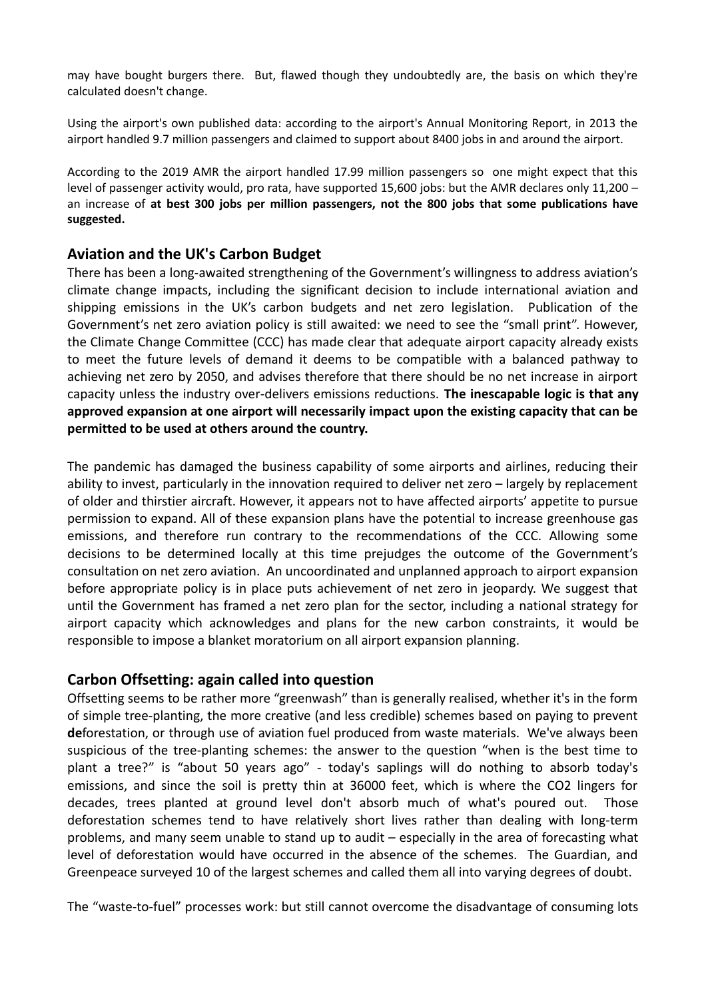may have bought burgers there. But, flawed though they undoubtedly are, the basis on which they're calculated doesn't change.

Using the airport's own published data: according to the airport's Annual Monitoring Report, in 2013 the airport handled 9.7 million passengers and claimed to support about 8400 jobs in and around the airport.

According to the 2019 AMR the airport handled 17.99 million passengers so one might expect that this level of passenger activity would, pro rata, have supported 15,600 jobs: but the AMR declares only 11,200 – an increase of **at best 300 jobs per million passengers, not the 800 jobs that some publications have suggested.** 

### **Aviation and the UK's Carbon Budget**

There has been a long-awaited strengthening of the Government's willingness to address aviation's climate change impacts, including the significant decision to include international aviation and shipping emissions in the UK's carbon budgets and net zero legislation. Publication of the Government's net zero aviation policy is still awaited: we need to see the "small print". However, the Climate Change Committee (CCC) has made clear that adequate airport capacity already exists to meet the future levels of demand it deems to be compatible with a balanced pathway to achieving net zero by 2050, and advises therefore that there should be no net increase in airport capacity unless the industry over-delivers emissions reductions. **The inescapable logic is that any approved expansion at one airport will necessarily impact upon the existing capacity that can be permitted to be used at others around the country.** 

The pandemic has damaged the business capability of some airports and airlines, reducing their ability to invest, particularly in the innovation required to deliver net zero – largely by replacement of older and thirstier aircraft. However, it appears not to have affected airports' appetite to pursue permission to expand. All of these expansion plans have the potential to increase greenhouse gas emissions, and therefore run contrary to the recommendations of the CCC. Allowing some decisions to be determined locally at this time prejudges the outcome of the Government's consultation on net zero aviation. An uncoordinated and unplanned approach to airport expansion before appropriate policy is in place puts achievement of net zero in jeopardy. We suggest that until the Government has framed a net zero plan for the sector, including a national strategy for airport capacity which acknowledges and plans for the new carbon constraints, it would be responsible to impose a blanket moratorium on all airport expansion planning.

### **Carbon Offsetting: again called into question**

Offsetting seems to be rather more "greenwash" than is generally realised, whether it's in the form of simple tree-planting, the more creative (and less credible) schemes based on paying to prevent **de**forestation, or through use of aviation fuel produced from waste materials. We've always been suspicious of the tree-planting schemes: the answer to the question "when is the best time to plant a tree?" is "about 50 years ago" - today's saplings will do nothing to absorb today's emissions, and since the soil is pretty thin at 36000 feet, which is where the CO2 lingers for decades, trees planted at ground level don't absorb much of what's poured out. Those deforestation schemes tend to have relatively short lives rather than dealing with long-term problems, and many seem unable to stand up to audit – especially in the area of forecasting what level of deforestation would have occurred in the absence of the schemes. The Guardian, and Greenpeace surveyed 10 of the largest schemes and called them all into varying degrees of doubt.

The "waste-to-fuel" processes work: but still cannot overcome the disadvantage of consuming lots